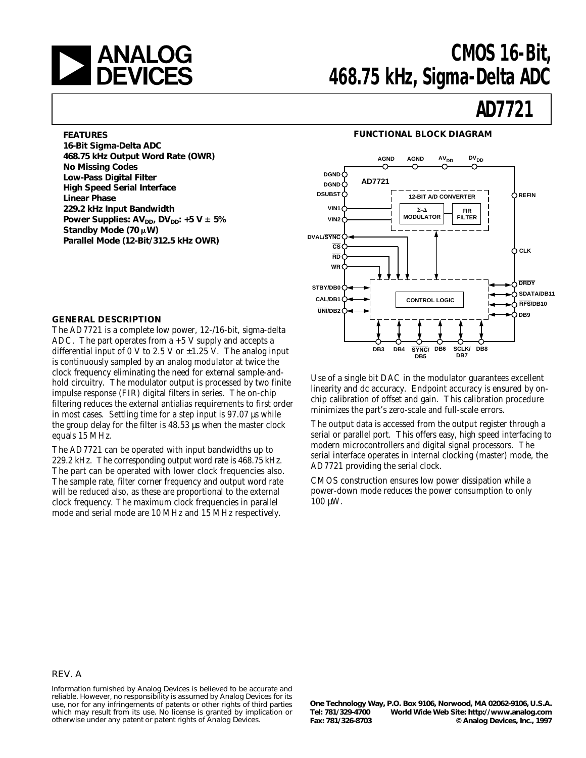

# **ANALOG** CMOS 16-Bit,<br>**DEVICES** 468.75 kHz. Sigma-Delta ADC **468.75 kHz, Sigma-Delta ADC**

# **AD7721**

#### **FEATURES**

**16-Bit Sigma-Delta ADC 468.75 kHz Output Word Rate (OWR) No Missing Codes Low-Pass Digital Filter High Speed Serial Interface Linear Phase 229.2 kHz Input Bandwidth** Power Supplies:  $AV_{DD}$ ,  $DV_{DD}$ : +5  $V \pm 5\%$ Standby Mode (70  $\mu$ W) **Parallel Mode (12-Bit/312.5 kHz OWR)**

#### **GENERAL DESCRIPTION**

The AD7721 is a complete low power, 12-/16-bit, sigma-delta ADC. The part operates from  $a + 5$  V supply and accepts a differential input of 0 V to 2.5 V or  $\pm$ 1.25 V. The analog input is continuously sampled by an analog modulator at twice the clock frequency eliminating the need for external sample-andhold circuitry. The modulator output is processed by two finite impulse response (FIR) digital filters in series. The on-chip filtering reduces the external antialias requirements to first order in most cases. Settling time for a step input is 97.07 µs while the group delay for the filter is 48.53 µs when the master clock equals 15 MHz.

The AD7721 can be operated with input bandwidths up to 229.2 kHz. The corresponding output word rate is 468.75 kHz. The part can be operated with lower clock frequencies also. The sample rate, filter corner frequency and output word rate will be reduced also, as these are proportional to the external clock frequency. The maximum clock frequencies in parallel mode and serial mode are 10 MHz and 15 MHz respectively.

#### **FUNCTIONAL BLOCK DIAGRAM**



Use of a single bit DAC in the modulator guarantees excellent linearity and dc accuracy. Endpoint accuracy is ensured by onchip calibration of offset and gain. This calibration procedure minimizes the part's zero-scale and full-scale errors.

The output data is accessed from the output register through a serial or parallel port. This offers easy, high speed interfacing to modern microcontrollers and digital signal processors. The serial interface operates in internal clocking (master) mode, the AD7721 providing the serial clock.

CMOS construction ensures low power dissipation while a power-down mode reduces the power consumption to only 100 µW.

#### REV. A

Information furnished by Analog Devices is believed to be accurate and reliable. However, no responsibility is assumed by Analog Devices for its use, nor for any infringements of patents or other rights of third parties which may result from its use. No license is granted by implication or otherwise under any patent or patent rights of Analog Devices.

**One Technology Way, P.O. Box 9106, Norwood, MA 02062-9106, U.S.A.** World Wide Web Site: http://www.analog.com **Fax: 781/326-8703 © Analog Devices, Inc., 1997**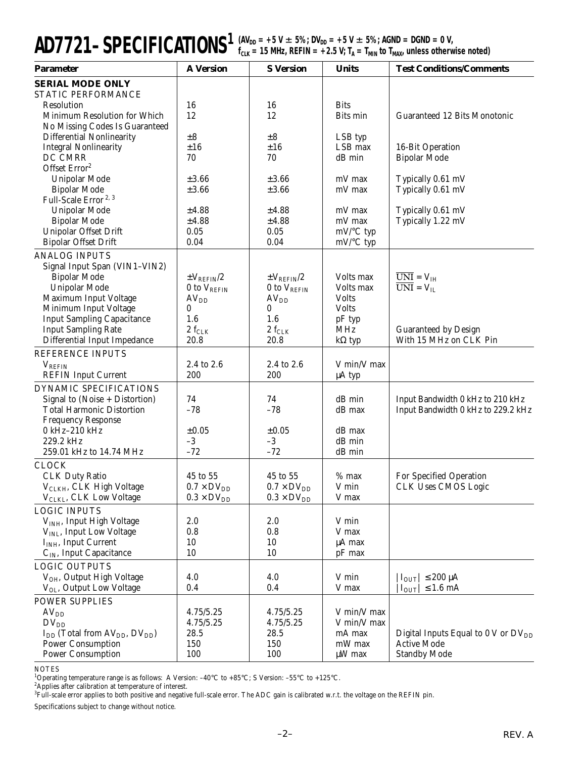| $AD7721-SPECIFICATIONS1$ (av <sub>dd</sub> = +5 V $\pm$ 5%; DV <sub>dd</sub> = +5 V $\pm$ 5%; AGND = DGND = 0 V,<br>f <sub>clk</sub> = 15 MHz, REFIN = +2.5 V; T <sub>A</sub> = T <sub>MIN</sub> to T <sub>MAX</sub> , unless otherwise noted) |
|------------------------------------------------------------------------------------------------------------------------------------------------------------------------------------------------------------------------------------------------|
|                                                                                                                                                                                                                                                |

| <b>Parameter</b>                                                   | <b>A</b> Version        | <b>S</b> Version        | <b>Units</b>               | <b>Test Conditions/Comments</b>                                        |
|--------------------------------------------------------------------|-------------------------|-------------------------|----------------------------|------------------------------------------------------------------------|
| <b>SERIAL MODE ONLY</b>                                            |                         |                         |                            |                                                                        |
| STATIC PERFORMANCE                                                 |                         |                         |                            |                                                                        |
| Resolution                                                         | 16                      | 16                      | <b>Bits</b>                |                                                                        |
| Minimum Resolution for Which                                       | 12                      | 12                      | Bits min                   | Guaranteed 12 Bits Monotonic                                           |
| No Missing Codes Is Guaranteed                                     |                         |                         |                            |                                                                        |
| <b>Differential Nonlinearity</b>                                   | $\pm 8$<br>±16          | $\pm 8$<br>±16          | LSB typ<br>LSB max         |                                                                        |
| <b>Integral Nonlinearity</b><br>DC CMRR                            | 70                      | 70                      | dB min                     | 16-Bit Operation<br><b>Bipolar Mode</b>                                |
| Offset Error <sup>2</sup>                                          |                         |                         |                            |                                                                        |
| Unipolar Mode                                                      | ±3.66                   | $\pm 3.66$              | mV max                     | Typically 0.61 mV                                                      |
| <b>Bipolar Mode</b>                                                | ±3.66                   | ±3.66                   | mV max                     | Typically 0.61 mV                                                      |
| Full-Scale Error <sup>2, 3</sup>                                   |                         |                         |                            |                                                                        |
| Unipolar Mode                                                      | ±4.88                   | ±4.88                   | mV max                     | Typically 0.61 mV                                                      |
| <b>Bipolar Mode</b>                                                | ±4.88                   | ±4.88                   | mV max                     | Typically 1.22 mV                                                      |
| Unipolar Offset Drift                                              | 0.05                    | 0.05                    | $mV$ <sup>o</sup> C typ    |                                                                        |
| <b>Bipolar Offset Drift</b>                                        | 0.04                    | 0.04                    | mV/°C typ                  |                                                                        |
| <b>ANALOG INPUTS</b>                                               |                         |                         |                            |                                                                        |
| Signal Input Span (VIN1-VIN2)                                      |                         |                         |                            |                                                                        |
| <b>Bipolar Mode</b>                                                | $\pm V_{REFIN}/2$       | $\pm V_{\rm REFIN}/2$   | Volts max                  | $\overline{UNI} = V_{IH}$                                              |
| Unipolar Mode                                                      | 0 to $V_{REFIN}$        | 0 to $V_{REFIN}$        | Volts max                  | $\overline{UNI} = V_{II}$                                              |
| Maximum Input Voltage                                              | AV <sub>DD</sub>        | AV <sub>DD</sub>        | <b>Volts</b>               |                                                                        |
| Minimum Input Voltage                                              | 0                       | 0                       | <b>Volts</b>               |                                                                        |
| <b>Input Sampling Capacitance</b>                                  | 1.6                     | 1.6                     | pF typ                     |                                                                        |
| <b>Input Sampling Rate</b><br><b>Differential Input Impedance</b>  | $2\rm\ f_{CLK}$<br>20.8 | $2\rm\ f_{CLK}$<br>20.8 | MHz                        | <b>Guaranteed by Design</b><br>With 15 MHz on CLK Pin                  |
|                                                                    |                         |                         | $k\Omega$ typ              |                                                                        |
| REFERENCE INPUTS                                                   |                         |                         |                            |                                                                        |
| $V_{REFIN}$<br><b>REFIN Input Current</b>                          | 2.4 to 2.6<br>200       | 2.4 to 2.6<br>200       | V min/V max<br>$\mu A$ typ |                                                                        |
|                                                                    |                         |                         |                            |                                                                        |
| DYNAMIC SPECIFICATIONS                                             | 74                      | 74                      | dB min                     |                                                                        |
| Signal to (Noise + Distortion)<br><b>Total Harmonic Distortion</b> | $-78$                   | $-78$                   | dB max                     | Input Bandwidth 0 kHz to 210 kHz<br>Input Bandwidth 0 kHz to 229.2 kHz |
| <b>Frequency Response</b>                                          |                         |                         |                            |                                                                        |
| 0 kHz-210 kHz                                                      | $\pm 0.05$              | $\pm 0.05$              | dB max                     |                                                                        |
| 229.2 kHz                                                          | $-3$                    | $-3$                    | dB min                     |                                                                        |
| 259.01 kHz to 14.74 MHz                                            | $-72$                   | $-72$                   | $dB$ min                   |                                                                        |
| <b>CLOCK</b>                                                       |                         |                         |                            |                                                                        |
| <b>CLK Duty Ratio</b>                                              | 45 to 55                | 45 to 55                | $%$ max                    | For Specified Operation                                                |
| V <sub>CLKH</sub> , CLK High Voltage                               | $0.7 \times DV_{DD}$    | $0.7 \times DV_{DD}$    | V min                      | <b>CLK Uses CMOS Logic</b>                                             |
| V <sub>CLKL</sub> , CLK Low Voltage                                | $0.3 \times DV_{DD}$    | $0.3 \times DV_{DD}$    | V max                      |                                                                        |
| <b>LOGIC INPUTS</b>                                                |                         |                         |                            |                                                                        |
| V <sub>INH</sub> , Input High Voltage                              | 2.0                     | 2.0                     | V min                      |                                                                        |
| V <sub>INL</sub> , Input Low Voltage                               | 0.8                     | 0.8                     | V max                      |                                                                        |
| $IINH$ , Input Current                                             | 10                      | 10                      | µA max                     |                                                                        |
| $CIN$ , Input Capacitance                                          | 10                      | 10                      | pF max                     |                                                                        |
| <b>LOGIC OUTPUTS</b>                                               |                         |                         |                            |                                                                        |
| V <sub>OH</sub> , Output High Voltage                              | 4.0                     | 4.0                     | V min                      | $ I_{\text{OUT}}  \leq 200 \mu A$                                      |
| V <sub>OL</sub> , Output Low Voltage                               | 0.4                     | 0.4                     | V max                      | $\rm I_{OUT}$   $\leq 1.6$ mA                                          |
| <b>POWER SUPPLIES</b>                                              |                         |                         |                            |                                                                        |
| AV <sub>DD</sub>                                                   | 4.75/5.25               | 4.75/5.25               | V min/V max                |                                                                        |
| $DV_{DD}$                                                          | 4.75/5.25               | 4.75/5.25               | V min/V max                |                                                                        |
| $I_{DD}$ (Total from $AV_{DD}$ , $DV_{DD}$ )                       | 28.5                    | 28.5                    | mA max                     | Digital Inputs Equal to 0 V or $DV_{DD}$                               |
| <b>Power Consumption</b>                                           | 150                     | 150                     | mW max                     | <b>Active Mode</b>                                                     |
| <b>Power Consumption</b>                                           | 100                     | 100                     | $\mu$ W max                | <b>Standby Mode</b>                                                    |

NOTES<br><sup>1</sup>Operating temperature range is as follows: A Version: –40°C to +85°C; S Version: –55°C to +125°C.<br><sup>2</sup>Applies after calibration at temperature of interest.<br><sup>3</sup>Full-scale error applies to both positive and negative

Specifications subject to change without notice.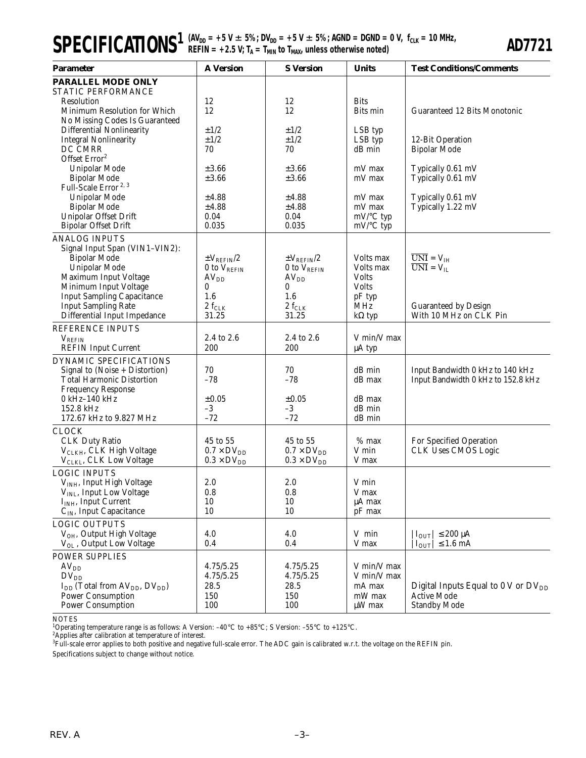| <b>SPECIFICATIONS</b> ${}^{(AV_{DD} = +5 V \pm 5\%; DV_{DD} = +5 V \pm 5\%; AGND = DGND = 0 V, f_{CLK} = 10 MHz, \nF_{CLK} = 10 MHz.$ |
|---------------------------------------------------------------------------------------------------------------------------------------|
|---------------------------------------------------------------------------------------------------------------------------------------|

| <b>Parameter</b>                                                  | <b>A</b> Version                      | <b>S</b> Version             | <b>Units</b>            | <b>Test Conditions/Comments</b>                                  |
|-------------------------------------------------------------------|---------------------------------------|------------------------------|-------------------------|------------------------------------------------------------------|
| PARALLEL MODE ONLY                                                |                                       |                              |                         |                                                                  |
| STATIC PERFORMANCE                                                |                                       |                              |                         |                                                                  |
| Resolution<br>Minimum Resolution for Which                        | 12<br>12                              | 12<br>12                     | <b>Bits</b><br>Bits min | Guaranteed 12 Bits Monotonic                                     |
| No Missing Codes Is Guaranteed                                    |                                       |                              |                         |                                                                  |
| Differential Nonlinearity                                         | ±1/2                                  | ±1/2                         | LSB typ                 |                                                                  |
| <b>Integral Nonlinearity</b>                                      | ±1/2                                  | ±1/2                         | LSB typ                 | 12-Bit Operation                                                 |
| DC CMRR                                                           | 70                                    | 70                           | dB min                  | <b>Bipolar Mode</b>                                              |
| Offset Error <sup>2</sup>                                         |                                       |                              |                         |                                                                  |
| Unipolar Mode                                                     | ±3.66                                 | $\pm 3.66$                   | mV max                  | Typically 0.61 mV                                                |
| <b>Bipolar Mode</b><br>Full-Scale Error <sup>2, 3</sup>           | $\pm 3.66$                            | $\pm 3.66$                   | mV max                  | Typically 0.61 mV                                                |
| <b>Unipolar Mode</b>                                              | ±4.88                                 | ±4.88                        | mV max                  | Typically 0.61 mV                                                |
| <b>Bipolar Mode</b>                                               | ±4.88                                 | ±4.88                        | mV max                  | Typically 1.22 mV                                                |
| Unipolar Offset Drift                                             | 0.04                                  | 0.04                         | mV/°C typ               |                                                                  |
| <b>Bipolar Offset Drift</b>                                       | 0.035                                 | 0.035                        | $mV$ <sup>o</sup> C typ |                                                                  |
| <b>ANALOG INPUTS</b>                                              |                                       |                              |                         |                                                                  |
| Signal Input Span (VIN1-VIN2):                                    |                                       |                              |                         |                                                                  |
| Bipolar Mode                                                      | $\pm V_{\rm REFIN}/2$                 | $\pm V_{\rm REFIN}/2$        | Volts max               | $\overline{UNI} = V_{IH}$                                        |
| <b>Unipolar Mode</b>                                              | 0 to V <sub>REFIN</sub>               | 0 to $V_{REFIN}$             | Volts max               | $\overline{UNI} = V_{II}$                                        |
| Maximum Input Voltage                                             | AV <sub>DD</sub>                      | AV <sub>DD</sub>             | <b>Volts</b>            |                                                                  |
| Minimum Input Voltage                                             | 0                                     | 0                            | <b>Volts</b>            |                                                                  |
| <b>Input Sampling Capacitance</b>                                 | 1.6                                   | 1.6                          | pF typ                  |                                                                  |
| <b>Input Sampling Rate</b><br>Differential Input Impedance        | $2~\ensuremath{\rm f_{CLK}}$<br>31.25 | $2~\ensuremath{\rm f_{CLK}}$ | MHz                     | <b>Guaranteed by Design</b><br>With 10 MHz on CLK Pin            |
|                                                                   |                                       | 31.25                        | $k\Omega$ typ           |                                                                  |
| REFERENCE INPUTS                                                  | 2.4 to 2.6                            | 2.4 to 2.6                   | V min/V max             |                                                                  |
| $V_{REFIN}$<br><b>REFIN Input Current</b>                         | 200                                   | 200                          | μA typ                  |                                                                  |
| DYNAMIC SPECIFICATIONS                                            |                                       |                              |                         |                                                                  |
| Signal to (Noise + Distortion)                                    | 70                                    | 70                           | dB min                  | Input Bandwidth 0 kHz to 140 kHz                                 |
| <b>Total Harmonic Distortion</b>                                  | $-78$                                 | $-78$                        | dB max                  | Input Bandwidth 0 kHz to 152.8 kHz                               |
| <b>Frequency Response</b>                                         |                                       |                              |                         |                                                                  |
| 0 kHz-140 kHz                                                     | $\pm 0.05$                            | $\pm 0.05$                   | dB max                  |                                                                  |
| 152.8 kHz                                                         | $-3$                                  | $-3$                         | dB min                  |                                                                  |
| 172.67 kHz to 9.827 MHz                                           | $-72$                                 | $-72$                        | dB min                  |                                                                  |
| <b>CLOCK</b>                                                      |                                       |                              |                         |                                                                  |
| <b>CLK Duty Ratio</b>                                             | 45 to 55                              | 45 to 55                     | $%$ max                 | For Specified Operation                                          |
| V <sub>CLKH</sub> , CLK High Voltage                              | $0.7 \times DV_{DD}$                  | $0.7 \times DV_{DD}$         | V min                   | <b>CLK Uses CMOS Logic</b>                                       |
| V <sub>CLKL</sub> , CLK Low Voltage                               | $0.3 \times DV_{DD}$                  | $0.3 \times DV_{DD}$         | V max                   |                                                                  |
| <b>LOGIC INPUTS</b>                                               |                                       |                              |                         |                                                                  |
| V <sub>INH</sub> , Input High Voltage                             | 2.0                                   | 2.0                          | V min                   |                                                                  |
| V <sub>INL</sub> , Input Low Voltage<br>$IINH$ , Input Current    | 0.8<br>10                             | 0.8<br>10                    | V max<br>$\mu A$ max    |                                                                  |
| C <sub>IN</sub> , Input Capacitance                               | 10                                    | 10                           | pF max                  |                                                                  |
| <b>LOGIC OUTPUTS</b>                                              |                                       |                              |                         |                                                                  |
| V <sub>OH</sub> , Output High Voltage                             | 4.0                                   | 4.0                          | V min                   | $ I_{OUT}  \leq 200 \mu A$                                       |
| V <sub>OL</sub> , Output Low Voltage                              | 0.4                                   | 0.4                          | V max                   | $ I_{OUT}  \leq 1.6$ mA                                          |
| POWER SUPPLIES                                                    |                                       |                              |                         |                                                                  |
| AV <sub>DD</sub>                                                  | 4.75/5.25                             | 4.75/5.25                    | V min/V max             |                                                                  |
| $DV_{DD}$                                                         | 4.75/5.25                             | 4.75/5.25                    | V min/V max             |                                                                  |
| I <sub>DD</sub> (Total from AV <sub>DD</sub> , DV <sub>DD</sub> ) | 28.5                                  | 28.5                         | mA max                  | Digital Inputs Equal to $0 \text{ V}$ or $\text{DV}_{\text{DD}}$ |
| <b>Power Consumption</b>                                          | 150                                   | 150                          | mW max                  | <b>Active Mode</b>                                               |
| <b>Power Consumption</b>                                          | 100                                   | 100                          | $\mu$ W max             | <b>Standby Mode</b>                                              |

NOTES

<sup>1</sup>Operating temperature range is as follows: A Version: −40°C to +85°C; S Version: −55°C to +125°C.<br><sup>2</sup>Applies after calibration at temperature of interest.<br><sup>3</sup>Full-scale error applies to both positive and negative full-

Specifications subject to change without notice.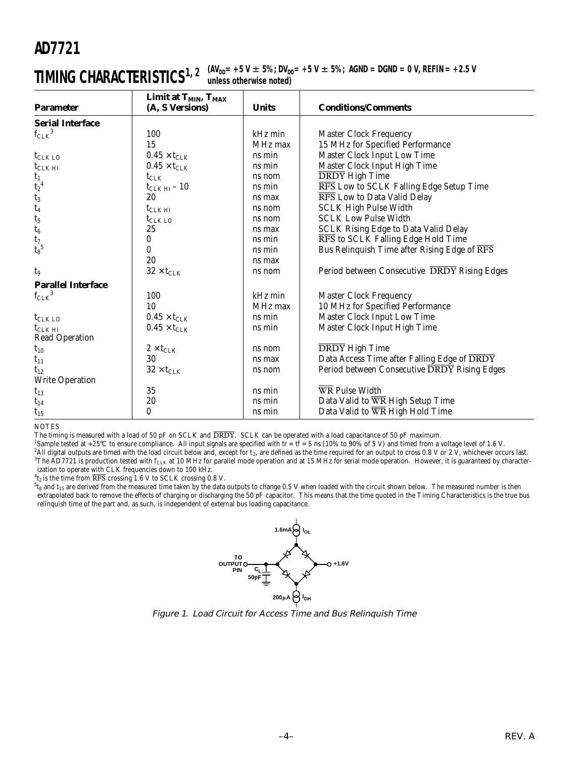$\textbf{TIMING CHARACTERISTICS}^{\text{1, 2 (AV}_{DD}= +5 \text{ V} \pm 5 \text{\%}; \text{ DV}_{DD}= +5 \text{ V} \pm 5 \text{\%}; \text{ AGND} = \text{DGND} = 0 \text{ V}, \text{REFIN} = +2.5 \text{ V}$ **unless otherwise noted)**

| <b>Parameter</b>          | Limit at T <sub>MIN</sub> , T <sub>MAX</sub><br>(A, S Versions) | <b>Units</b> | <b>Conditions/Comments</b>                   |
|---------------------------|-----------------------------------------------------------------|--------------|----------------------------------------------|
| <b>Serial Interface</b>   |                                                                 |              |                                              |
| $f_{CLK}^3$               | 100                                                             | kHz min      | <b>Master Clock Frequency</b>                |
|                           | 15                                                              | MHz max      | 15 MHz for Specified Performance             |
| $t_{CLK LO}$              | $0.45\times t_{\text{CLK}}$                                     | ns min       | Master Clock Input Low Time                  |
| $t_{CLK H I}$             | $0.45\times t_{\text{CLK}}$                                     | ns min       | Master Clock Input High Time                 |
| $t_1$                     | $t_{\text{CLK}}$                                                | ns nom       | <b>DRDY</b> High Time                        |
| $t_2{}^4$                 | $t_{CLK H I} - 10$                                              | ns min       | RFS Low to SCLK Falling Edge Setup Time      |
| $t_3$                     | 20                                                              | ns max       | RFS Low to Data Valid Delay                  |
| $t_4$                     | $t_{CLK \, HI}$                                                 | ns nom       | <b>SCLK High Pulse Width</b>                 |
| $t_5$                     | $t_{CLK LO}$                                                    | ns nom       | <b>SCLK Low Pulse Width</b>                  |
| $t_6$                     | 25                                                              | ns max       | <b>SCLK Rising Edge to Data Valid Delay</b>  |
| $t_7$                     | 0                                                               | ns min       | RFS to SCLK Falling Edge Hold Time           |
| $t_8^{\hspace{.5mm}5}$    | 0                                                               | ns min       | Bus Relinquish Time after Rising Edge of RFS |
|                           | 20                                                              | ns max       |                                              |
| t <sub>9</sub>            | $32\times t_{\text{CLK}}$                                       | ns nom       | Period between Consecutive DRDY Rising Edges |
| <b>Parallel Interface</b> |                                                                 |              |                                              |
| $f_{CLK}$ <sup>3</sup>    | 100                                                             | kHz min      | <b>Master Clock Frequency</b>                |
|                           | 10                                                              | MHz max      | 10 MHz for Specified Performance             |
| $t_{CLK LO}$              | $0.45\times t_{\text{CLK}}$                                     | ns min       | Master Clock Input Low Time                  |
| $t_{CLK H I}$             | $0.45\times t_{\text{CLK}}$                                     | ns min       | Master Clock Input High Time                 |
| Read Operation            |                                                                 |              |                                              |
| $t_{10}$                  | $2\times t_{\text{CLK}}$                                        | ns nom       | <b>DRDY</b> High Time                        |
| $t_{11}$                  | 30                                                              | ns max       | Data Access Time after Falling Edge of DRDY  |
| $t_{12}$                  | $32\times t_{\text{CLK}}$                                       | ns nom       | Period between Consecutive DRDY Rising Edges |
| <b>Write Operation</b>    |                                                                 |              |                                              |
| $t_{13}$                  | 35                                                              | ns min       | <b>WR Pulse Width</b>                        |
| $t_{14}$                  | 20                                                              | ns min       | Data Valid to WR High Setup Time             |
| $t_{15}$                  | 0                                                               | ns min       | Data Valid to WR High Hold Time              |

NOTES

The timing is measured with a load of 50 pF on SCLK and  $\overline{DRDY}$ . SCLK can be operated with a load capacitance of 50 pF maximum.

<sup>1</sup>Sample tested at +25°C to ensure compliance. All input signals are specified with tr = tf = 5 ns (10% to 90% of 5 V) and timed from a voltage level of 1.6 V.  $^2$ All digital outputs are timed with the load circuit below and, except for t2, are defined as the time required for an output to cross 0.8 V or 2 V, whichever occurs last.<br><sup>3</sup>The AD7721 is production tested with f<sub>CLK</sub> ization to operate with CLK frequencies down to 100 kHz.

 $^{4}$ t<sub>2</sub> is the time from  $\overline{\mathrm{RFS}}$  crossing 1.6 V to SCLK crossing 0.8 V.

 $^{5}$ t $_{8}$  and t $_{15}$  are derived from the measured time taken by the data outputs to change 0.5 V when loaded with the circuit shown below. The measured number is then extrapolated back to remove the effects of charging or discharging the 50 pF capacitor. This means that the time quoted in the Timing Characteristics is the true bus relinquish time of the part and, as such, is independent of external bus loading capacitance.



Figure 1. Load Circuit for Access Time and Bus Relinquish Time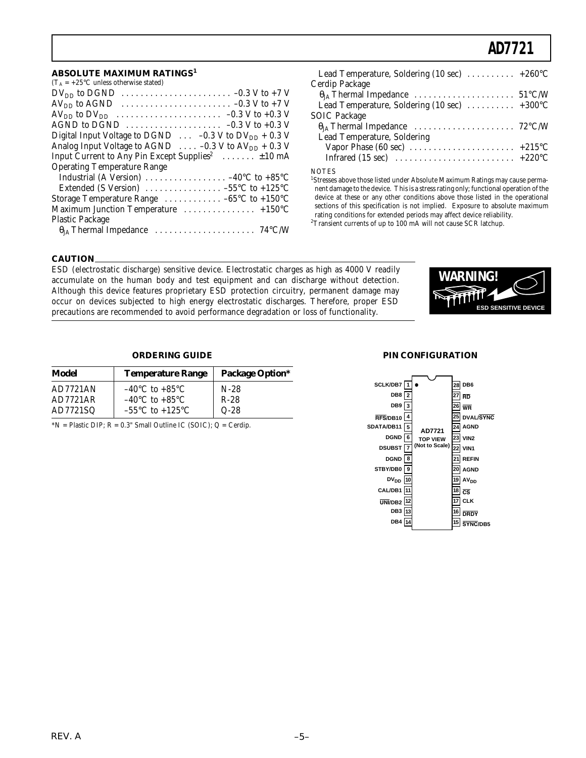#### **ABSOLUTE MAXIMUM RATINGS<sup>1</sup>**

| $(T_A = +25$ °C unless otherwise stated)                                                          |
|---------------------------------------------------------------------------------------------------|
| $DV_{DD}$ to DGND $\ldots \ldots \ldots \ldots \ldots \ldots \ldots \ldots \ldots \ldots$         |
| $AV_{DD}$ to AGND $\ldots \ldots \ldots \ldots \ldots \ldots \ldots \ldots \ldots -0.3 V$ to +7 V |
|                                                                                                   |
| AGND to DGND $\ldots \ldots \ldots \ldots \ldots \ldots -0.3$ V to +0.3 V                         |
| Digital Input Voltage to DGND $\ldots -0.3$ V to DV <sub>DD</sub> + 0.3 V                         |
| Analog Input Voltage to AGND $\ldots$ -0.3 V to AV <sub>DD</sub> + 0.3 V                          |
| Input Current to Any Pin Except Supplies <sup>2</sup> $\pm 10$ mA                                 |
| <b>Operating Temperature Range</b>                                                                |
| Industrial (A Version) $\ldots \ldots \ldots \ldots \ldots -40$ °C to +85 °C                      |
| Extended (S Version) $\ldots \ldots \ldots \ldots -55^{\circ}C$ to +125 °C                        |
| Storage Temperature Range $\dots \dots \dots \dots -65$ °C to +150°C                              |
| Maximum Junction Temperature  +150°C                                                              |
| <b>Plastic Package</b>                                                                            |
|                                                                                                   |

| Lead Temperature, Soldering (10 sec)  +260°C                                    |  |
|---------------------------------------------------------------------------------|--|
| Cerdip Package                                                                  |  |
|                                                                                 |  |
| Lead Temperature, Soldering (10 sec)  +300°C                                    |  |
| <b>SOIC Package</b>                                                             |  |
|                                                                                 |  |
| Lead Temperature, Soldering                                                     |  |
| Vapor Phase (60 sec) $\ldots \ldots \ldots \ldots \ldots \ldots \ldots +215$ °C |  |
|                                                                                 |  |
| <b>NOTES</b>                                                                    |  |

<sup>1</sup>Stresses above those listed under Absolute Maximum Ratings may cause permanent damage to the device. This is a stress rating only; functional operation of the device at these or any other conditions above those listed in the operational sections of this specification is not implied. Exposure to absolute maximum rating conditions for extended periods may affect device reliability.

 ${}^{2}$ Transient currents of up to 100 mA will not cause SCR latchup.

#### **CAUTION**

ESD (electrostatic discharge) sensitive device. Electrostatic charges as high as 4000 V readily accumulate on the human body and test equipment and can discharge without detection. Although this device features proprietary ESD protection circuitry, permanent damage may occur on devices subjected to high energy electrostatic discharges. Therefore, proper ESD precautions are recommended to avoid performance degradation or loss of functionality.



#### **ORDERING GUIDE**

| Model           | <b>Temperature Range</b>            | <b>Package Option*</b> |
|-----------------|-------------------------------------|------------------------|
| <b>AD7721AN</b> | $-40^{\circ}$ C to $+85^{\circ}$ C  | $N-28$                 |
| AD7721AR        | $-40^{\circ}$ C to $+85^{\circ}$ C  | $R-28$                 |
| AD7721SQ        | $-55^{\circ}$ C to $+125^{\circ}$ C | $Q-28$                 |

 $*N =$  Plastic DIP;  $R = 0.3$ " Small Outline IC (SOIC);  $Q =$  Cerdip.

#### **PIN CONFIGURATION**

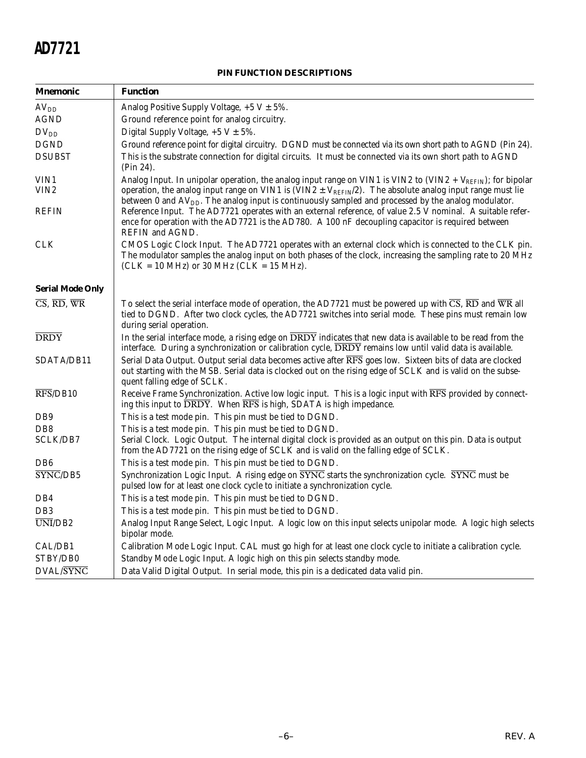### **PIN FUNCTION DESCRIPTIONS**

| Mnemonic                                                           | <b>Function</b>                                                                                                                                                                                                                                                                                                                                          |  |  |  |
|--------------------------------------------------------------------|----------------------------------------------------------------------------------------------------------------------------------------------------------------------------------------------------------------------------------------------------------------------------------------------------------------------------------------------------------|--|--|--|
| $\rm AV_{DD}$                                                      | Analog Positive Supply Voltage, $+5$ V $\pm$ 5%.                                                                                                                                                                                                                                                                                                         |  |  |  |
| <b>AGND</b>                                                        | Ground reference point for analog circuitry.                                                                                                                                                                                                                                                                                                             |  |  |  |
| $DV_{DD}$                                                          | Digital Supply Voltage, $+5$ V $\pm$ 5%.                                                                                                                                                                                                                                                                                                                 |  |  |  |
| <b>DGND</b>                                                        | Ground reference point for digital circuitry. DGND must be connected via its own short path to AGND (Pin 24).                                                                                                                                                                                                                                            |  |  |  |
| <b>DSUBST</b>                                                      | This is the substrate connection for digital circuits. It must be connected via its own short path to AGND<br>(Pin 24).                                                                                                                                                                                                                                  |  |  |  |
| VIN1<br>VIN2                                                       | Analog Input. In unipolar operation, the analog input range on VIN1 is VIN2 to (VIN2 + $V_{REFIN}$ ); for bipolar<br>operation, the analog input range on VIN1 is (VIN2 $\pm$ V <sub>REFIN</sub> /2). The absolute analog input range must lie<br>between 0 and $AVDD$ . The analog input is continuously sampled and processed by the analog modulator. |  |  |  |
| REFIN                                                              | Reference Input. The AD7721 operates with an external reference, of value 2.5 V nominal. A suitable refer-<br>ence for operation with the AD7721 is the AD780. A 100 nF decoupling capacitor is required between<br>REFIN and AGND.                                                                                                                      |  |  |  |
| CLK                                                                | CMOS Logic Clock Input. The AD7721 operates with an external clock which is connected to the CLK pin.<br>The modulator samples the analog input on both phases of the clock, increasing the sampling rate to 20 MHz<br>$(CLK = 10 MHz)$ or 30 MHz $(CLK = 15 MHz)$ .                                                                                     |  |  |  |
| <b>Serial Mode Only</b>                                            |                                                                                                                                                                                                                                                                                                                                                          |  |  |  |
| $\overline{\text{CS}}, \overline{\text{RD}}, \overline{\text{WR}}$ | To select the serial interface mode of operation, the AD7721 must be powered up with $\overline{CS}$ , $\overline{RD}$ and $\overline{WR}$ all<br>tied to DGND. After two clock cycles, the AD7721 switches into serial mode. These pins must remain low<br>during serial operation.                                                                     |  |  |  |
| <b>DRDY</b>                                                        | In the serial interface mode, a rising edge on DRDY indicates that new data is available to be read from the<br>interface. During a synchronization or calibration cycle, DRDY remains low until valid data is available.                                                                                                                                |  |  |  |
| SDATA/DB11                                                         | Serial Data Output. Output serial data becomes active after RFS goes low. Sixteen bits of data are clocked<br>out starting with the MSB. Serial data is clocked out on the rising edge of SCLK and is valid on the subse-<br>quent falling edge of SCLK.                                                                                                 |  |  |  |
| $\overline{\text{RFS}}$ /DB10                                      | Receive Frame Synchronization. Active low logic input. This is a logic input with RFS provided by connect-<br>ing this input to DRDY. When RFS is high, SDATA is high impedance.                                                                                                                                                                         |  |  |  |
| DB9                                                                | This is a test mode pin. This pin must be tied to DGND.                                                                                                                                                                                                                                                                                                  |  |  |  |
| D <sub>B</sub> 8                                                   | This is a test mode pin. This pin must be tied to DGND.                                                                                                                                                                                                                                                                                                  |  |  |  |
| SCLK/DB7                                                           | Serial Clock. Logic Output. The internal digital clock is provided as an output on this pin. Data is output<br>from the AD7721 on the rising edge of SCLK and is valid on the falling edge of SCLK.                                                                                                                                                      |  |  |  |
| DB <sub>6</sub>                                                    | This is a test mode pin. This pin must be tied to DGND.                                                                                                                                                                                                                                                                                                  |  |  |  |
| SYNC/DB5                                                           | Synchronization Logic Input. A rising edge on SYNC starts the synchronization cycle. SYNC must be<br>pulsed low for at least one clock cycle to initiate a synchronization cycle.                                                                                                                                                                        |  |  |  |
| DB4                                                                | This is a test mode pin. This pin must be tied to DGND.                                                                                                                                                                                                                                                                                                  |  |  |  |
| DB <sub>3</sub>                                                    | This is a test mode pin. This pin must be tied to DGND.                                                                                                                                                                                                                                                                                                  |  |  |  |
| UNI/DB <sub>2</sub>                                                | Analog Input Range Select, Logic Input. A logic low on this input selects unipolar mode. A logic high selects<br>bipolar mode.                                                                                                                                                                                                                           |  |  |  |
| CAL/DB1                                                            | Calibration Mode Logic Input. CAL must go high for at least one clock cycle to initiate a calibration cycle.                                                                                                                                                                                                                                             |  |  |  |
| STBY/DB0                                                           | Standby Mode Logic Input. A logic high on this pin selects standby mode.                                                                                                                                                                                                                                                                                 |  |  |  |
| <b>DVAL/SYNC</b>                                                   | Data Valid Digital Output. In serial mode, this pin is a dedicated data valid pin.                                                                                                                                                                                                                                                                       |  |  |  |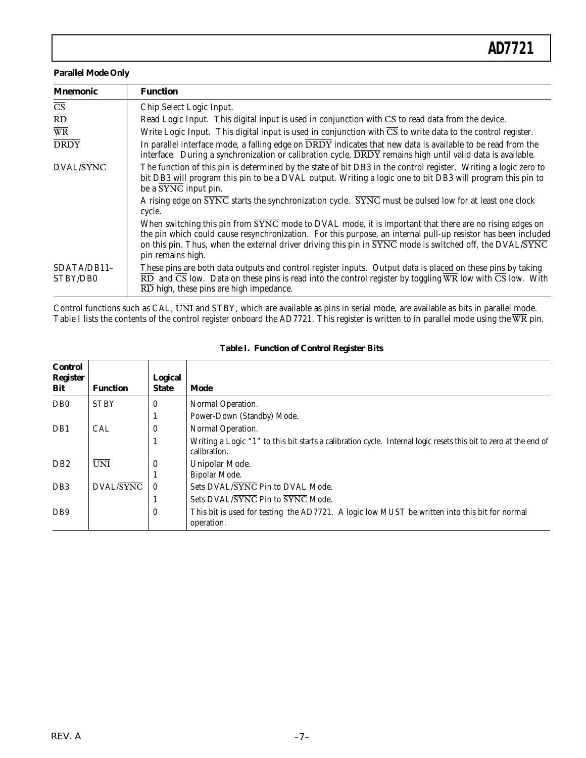#### **Parallel Mode Only**

| <b>Mnemonic</b>         | <b>Function</b>                                                                                                                                                                                                                                                                                                                                          |  |  |  |
|-------------------------|----------------------------------------------------------------------------------------------------------------------------------------------------------------------------------------------------------------------------------------------------------------------------------------------------------------------------------------------------------|--|--|--|
| $\overline{\text{CS}}$  | Chip Select Logic Input.                                                                                                                                                                                                                                                                                                                                 |  |  |  |
| $\overline{RD}$         | Read Logic Input. This digital input is used in conjunction with $\overline{CS}$ to read data from the device.                                                                                                                                                                                                                                           |  |  |  |
| $\overline{\text{WR}}$  | Write Logic Input. This digital input is used in conjunction with $\overline{CS}$ to write data to the control register.                                                                                                                                                                                                                                 |  |  |  |
| <b>DRDY</b>             | In parallel interface mode, a falling edge on DRDY indicates that new data is available to be read from the<br>interface. During a synchronization or calibration cycle, $\overline{DRDY}$ remains high until valid data is available.                                                                                                                   |  |  |  |
| DVAL/SYNC               | The function of this pin is determined by the state of bit DB3 in the control register. Writing a logic zero to<br>bit DB3 will program this pin to be a DVAL output. Writing a logic one to bit DB3 will program this pin to<br>be a SYNC input pin.                                                                                                    |  |  |  |
|                         | A rising edge on SYNC starts the synchronization cycle. SYNC must be pulsed low for at least one clock<br>cycle.                                                                                                                                                                                                                                         |  |  |  |
|                         | When switching this pin from SYNC mode to DVAL mode, it is important that there are no rising edges on<br>the pin which could cause resynchronization. For this purpose, an internal pull-up resistor has been included<br>on this pin. Thus, when the external driver driving this pin in SYNC mode is switched off, the DVAL/SYNC<br>pin remains high. |  |  |  |
| SDATA/DB11-<br>STBY/DB0 | These pins are both data outputs and control register inputs. Output data is placed on these pins by taking<br>$\overline{RD}$ and $\overline{CS}$ low. Data on these pins is read into the control register by toggling $\overline{WR}$ low with $\overline{CS}$ low. With<br>$\overline{\text{RD}}$ high, these pins are high impedance.               |  |  |  |

Control functions such as CAL,  $\overline{UNI}$  and STBY, which are available as pins in serial mode, are available as bits in parallel mode. Table I lists the contents of the control register onboard the AD7721. This register is written to in parallel mode using the  $\overline{WR}$  pin.

| <b>Control</b><br><b>Register</b><br>Bit | <b>Function</b> | <b>Logical</b><br><b>State</b> | Mode                                                                                                                             |
|------------------------------------------|-----------------|--------------------------------|----------------------------------------------------------------------------------------------------------------------------------|
| D <sub>B</sub> 0                         | <b>STBY</b>     | $\bf{0}$                       | Normal Operation.                                                                                                                |
|                                          |                 |                                | Power-Down (Standby) Mode.                                                                                                       |
| DB1                                      | <b>CAL</b>      | $\bf{0}$                       | Normal Operation.                                                                                                                |
|                                          |                 |                                | Writing a Logic "1" to this bit starts a calibration cycle. Internal logic resets this bit to zero at the end of<br>calibration. |
| D <sub>B2</sub>                          | <b>UNI</b>      | $\boldsymbol{0}$               | Unipolar Mode.                                                                                                                   |
|                                          |                 |                                | Bipolar Mode.                                                                                                                    |
| DB <sub>3</sub>                          | DVAL/SYNC       | $\theta$                       | Sets DVAL/SYNC Pin to DVAL Mode.                                                                                                 |
|                                          |                 |                                | Sets DVAL/SYNC Pin to SYNC Mode.                                                                                                 |
| DB <sub>9</sub>                          |                 | $\mathbf{0}$                   | This bit is used for testing the AD7721. A logic low MUST be written into this bit for normal                                    |
|                                          |                 |                                | operation.                                                                                                                       |

#### **Table I. Function of Control Register Bits**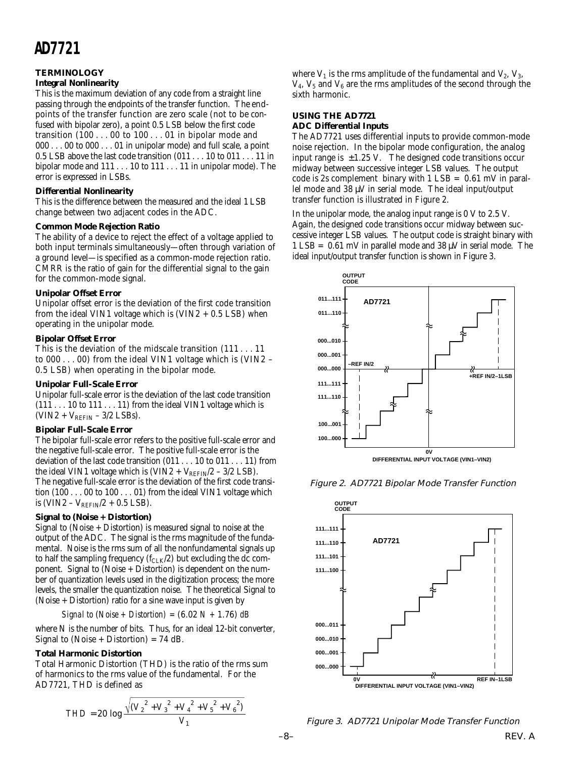#### **TERMINOLOGY**

#### **Integral Nonlinearity**

This is the maximum deviation of any code from a straight line passing through the endpoints of the transfer function. The endpoints of the transfer function are zero scale (not to be confused with bipolar zero), a point 0.5 LSB below the first code transition (100 . . . 00 to 100 . . . 01 in bipolar mode and 000 . . . 00 to 000 . . . 01 in unipolar mode) and full scale, a point 0.5 LSB above the last code transition (011 . . . 10 to 011 . . . 11 in bipolar mode and 111 . . . 10 to 111 . . . 11 in unipolar mode). The error is expressed in LSBs.

#### **Differential Nonlinearity**

This is the difference between the measured and the ideal 1 LSB change between two adjacent codes in the ADC.

#### **Common Mode Rejection Ratio**

The ability of a device to reject the effect of a voltage applied to both input terminals simultaneously—often through variation of a ground level—is specified as a common-mode rejection ratio. CMRR is the ratio of gain for the differential signal to the gain for the common-mode signal.

#### **Unipolar Offset Error**

Unipolar offset error is the deviation of the first code transition from the ideal VIN1 voltage which is  $(VIN2 + 0.5$  LSB) when operating in the unipolar mode.

#### **Bipolar Offset Error**

This is the deviation of the midscale transition (111 . . . 11 to 000 . . . 00) from the ideal VIN1 voltage which is (VIN2 – 0.5 LSB) when operating in the bipolar mode.

#### **Unipolar Full-Scale Error**

Unipolar full-scale error is the deviation of the last code transition  $(111 \ldots 10$  to  $111 \ldots 11)$  from the ideal VIN1 voltage which is  $(VIN2 + V<sub>REFIN</sub> - 3/2$  LSBs).

#### **Bipolar Full-Scale Error**

The bipolar full-scale error refers to the positive full-scale error and the negative full-scale error. The positive full-scale error is the deviation of the last code transition (011 . . . 10 to 011 . . . 11) from the ideal VIN1 voltage which is  $(VIN2 + V_{REFIN}/2 - 3/2$  LSB). The negative full-scale error is the deviation of the first code transition (100 . . . 00 to 100 . . . 01) from the ideal VIN1 voltage which is (VIN2 –  $V_{REFIN}/2 + 0.5$  LSB).

#### **Signal to (Noise + Distortion)**

Signal to (Noise + Distortion) is measured signal to noise at the output of the ADC. The signal is the rms magnitude of the fundamental. Noise is the rms sum of all the nonfundamental signals up to half the sampling frequency  $(f_{CLK}/2)$  but excluding the dc component. Signal to (Noise + Distortion) is dependent on the number of quantization levels used in the digitization process; the more levels, the smaller the quantization noise. The theoretical Signal to (Noise + Distortion) ratio for a sine wave input is given by

*Signal to* (*Noise + Distortion) =* (6.02 *N +* 1.76) *dB*

where N is the number of bits. Thus, for an ideal 12-bit converter, Signal to (Noise + Distortion) = 74 dB.

#### **Total Harmonic Distortion**

Total Harmonic Distortion (THD) is the ratio of the rms sum of harmonics to the rms value of the fundamental. For the AD7721, THD is defined as

$$
THD = 20 \log \frac{\sqrt{(V_2^2 + V_3^2 + V_4^2 + V_5^2 + V_6^2)}}{V_1}
$$

where  $V_1$  is the rms amplitude of the fundamental and  $V_2$ ,  $V_3$ ,  $V_4$ ,  $V_5$  and  $V_6$  are the rms amplitudes of the second through the sixth harmonic.

#### **USING THE AD7721 ADC Differential Inputs**

The AD7721 uses differential inputs to provide common-mode noise rejection. In the bipolar mode configuration, the analog input range is  $\pm 1.25$  V. The designed code transitions occur midway between successive integer LSB values. The output code is 2s complement binary with  $1$  LSB =  $0.61$  mV in parallel mode and  $38 \mu\text{V}$  in serial mode. The ideal input/output transfer function is illustrated in Figure 2.

In the unipolar mode, the analog input range is  $0 \,$ V to  $2.5 \,$ V. Again, the designed code transitions occur midway between successive integer LSB values. The output code is straight binary with 1 LSB =  $0.61$  mV in parallel mode and 38  $\mu$ V in serial mode. The ideal input/output transfer function is shown in Figure 3.



Figure 2. AD7721 Bipolar Mode Transfer Function



Figure 3. AD7721 Unipolar Mode Transfer Function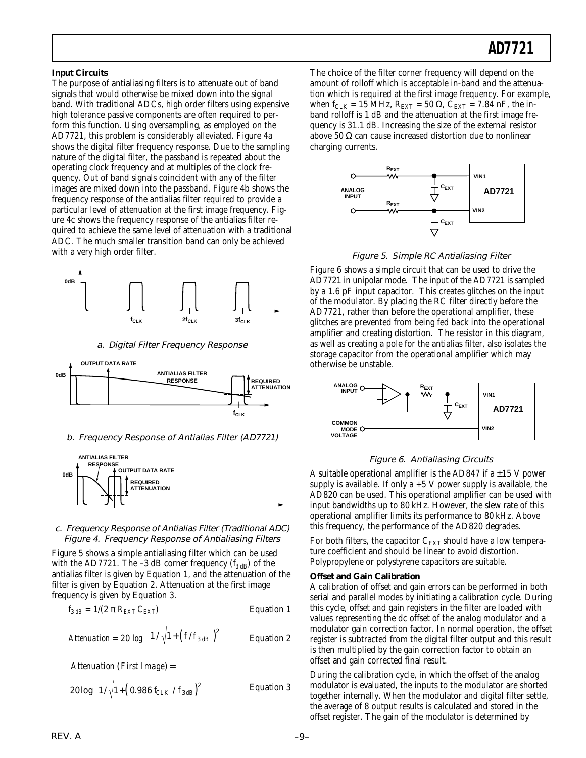#### **Input Circuits**

The purpose of antialiasing filters is to attenuate out of band signals that would otherwise be mixed down into the signal band. With traditional ADCs, high order filters using expensive high tolerance passive components are often required to perform this function. Using oversampling, as employed on the AD7721, this problem is considerably alleviated. Figure 4a shows the digital filter frequency response. Due to the sampling nature of the digital filter, the passband is repeated about the operating clock frequency and at multiples of the clock frequency. Out of band signals coincident with any of the filter images are mixed down into the passband. Figure 4b shows the frequency response of the antialias filter required to provide a particular level of attenuation at the first image frequency. Figure 4c shows the frequency response of the antialias filter required to achieve the same level of attenuation with a traditional ADC. The much smaller transition band can only be achieved with a very high order filter.



#### a. Digital Filter Frequency Response



#### b. Frequency Response of Antialias Filter (AD7721)



#### c. Frequency Response of Antialias Filter (Traditional ADC) Figure 4. Frequency Response of Antialiasing Filters

Figure 5 shows a simple antialiasing filter which can be used with the AD7721. The -3 dB corner frequency  $(f_{3 dB})$  of the antialias filter is given by Equation 1, and the attenuation of the filter is given by Equation 2. Attenuation at the first image frequency is given by Equation 3.

$$
f_{3 dB} = 1/(2 \pi R_{EXT} C_{EXT})
$$
 *Equation 1*

$$
Attention = 20 \text{ log} \left( 1 / \sqrt{1 + \left( f / f_{3 \text{ dB}} \right)^2} \right) \qquad \text{Equation 2}
$$

*Attenuation* (*First Image*)=

$$
20\log\left(1/\sqrt{1+\left(0.986\ f_{CLK} / f_{3\,dB}\right)^2}\right)
$$
 Equation 3

The choice of the filter corner frequency will depend on the amount of rolloff which is acceptable in-band and the attenuation which is required at the first image frequency. For example, when  $f_{CLK} = 15$  MHz,  $R_{EXT} = 50 \Omega$ ,  $C_{EXT} = 7.84$  nF, the inband rolloff is 1 dB and the attenuation at the first image frequency is 31.1 dB. Increasing the size of the external resistor above 50  $\Omega$  can cause increased distortion due to nonlinear charging currents.



Figure 5. Simple RC Antialiasing Filter

Figure 6 shows a simple circuit that can be used to drive the AD7721 in unipolar mode. The input of the AD7721 is sampled by a 1.6 pF input capacitor. This creates glitches on the input of the modulator. By placing the RC filter directly before the AD7721, rather than before the operational amplifier, these glitches are prevented from being fed back into the operational amplifier and creating distortion. The resistor in this diagram, as well as creating a pole for the antialias filter, also isolates the storage capacitor from the operational amplifier which may otherwise be unstable.



#### Figure 6. Antialiasing Circuits

A suitable operational amplifier is the AD847 if a  $\pm 15$  V power supply is available. If only  $a + 5$  V power supply is available, the AD820 can be used. This operational amplifier can be used with input bandwidths up to 80 kHz. However, the slew rate of this operational amplifier limits its performance to 80 kHz. Above this frequency, the performance of the AD820 degrades.

For both filters, the capacitor  $C_{\rm EXT}$  should have a low temperature coefficient and should be linear to avoid distortion. Polypropylene or polystyrene capacitors are suitable.

#### **Offset and Gain Calibration**

A calibration of offset and gain errors can be performed in both serial and parallel modes by initiating a calibration cycle. During this cycle, offset and gain registers in the filter are loaded with values representing the dc offset of the analog modulator and a modulator gain correction factor. In normal operation, the offset register is subtracted from the digital filter output and this result is then multiplied by the gain correction factor to obtain an offset and gain corrected final result.

During the calibration cycle, in which the offset of the analog modulator is evaluated, the inputs to the modulator are shorted together internally. When the modulator and digital filter settle, the average of 8 output results is calculated and stored in the offset register. The gain of the modulator is determined by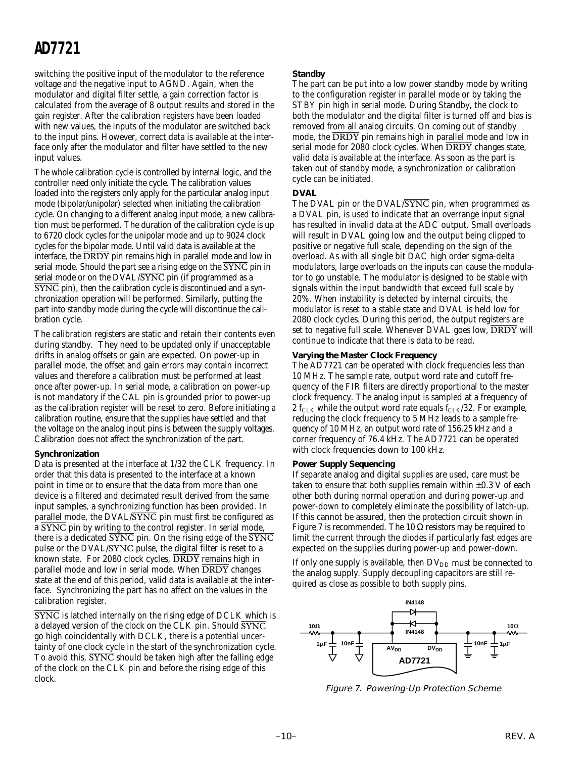switching the positive input of the modulator to the reference voltage and the negative input to AGND. Again, when the modulator and digital filter settle, a gain correction factor is calculated from the average of 8 output results and stored in the gain register. After the calibration registers have been loaded with new values, the inputs of the modulator are switched back to the input pins. However, correct data is available at the interface only after the modulator and filter have settled to the new input values.

The whole calibration cycle is controlled by internal logic, and the controller need only initiate the cycle. The calibration values loaded into the registers only apply for the particular analog input mode (bipolar/unipolar) selected when initiating the calibration cycle. On changing to a different analog input mode, a new calibration must be performed. The duration of the calibration cycle is up to 6720 clock cycles for the unipolar mode and up to 9024 clock cycles for the bipolar mode. Until valid data is available at the interface, the DRDY pin remains high in parallel mode and low in serial mode. Should the part see a rising edge on the SYNC pin in serial mode or on the DVAL/SYNC pin (if programmed as a SYNC pin), then the calibration cycle is discontinued and a synchronization operation will be performed. Similarly, putting the part into standby mode during the cycle will discontinue the calibration cycle.

The calibration registers are static and retain their contents even during standby. They need to be updated only if unacceptable drifts in analog offsets or gain are expected. On power-up in parallel mode, the offset and gain errors may contain incorrect values and therefore a calibration must be performed at least once after power-up. In serial mode, a calibration on power-up is not mandatory if the CAL pin is grounded prior to power-up as the calibration register will be reset to zero. Before initiating a calibration routine, ensure that the supplies have settled and that the voltage on the analog input pins is between the supply voltages. Calibration does not affect the synchronization of the part.

#### **Synchronization**

Data is presented at the interface at 1/32 the CLK frequency. In order that this data is presented to the interface at a known point in time or to ensure that the data from more than one device is a filtered and decimated result derived from the same input samples, a synchronizing function has been provided. In parallel mode, the DVAL/SYNC pin must first be configured as a SYNC pin by writing to the control register. In serial mode, there is a dedicated  $\overline{\text{SYNC}}$  pin. On the rising edge of the  $\overline{\text{SYNC}}$ pulse or the DVAL/SYNC pulse, the digital filter is reset to a known state. For 2080 clock cycles,  $\overline{DRDY}$  remains high in parallel mode and low in serial mode. When  $\overline{DRDY}$  changes state at the end of this period, valid data is available at the interface. Synchronizing the part has no affect on the values in the calibration register.

SYNC is latched internally on the rising edge of DCLK which is a delayed version of the clock on the CLK pin. Should  $\overline{\text{SYNC}}$ go high coincidentally with DCLK, there is a potential uncertainty of one clock cycle in the start of the synchronization cycle. To avoid this,  $\overline{\text{SYNC}}$  should be taken high after the falling edge of the clock on the CLK pin and before the rising edge of this clock.

#### **Standby**

The part can be put into a low power standby mode by writing to the configuration register in parallel mode or by taking the STBY pin high in serial mode. During Standby, the clock to both the modulator and the digital filter is turned off and bias is removed from all analog circuits. On coming out of standby mode, the DRDY pin remains high in parallel mode and low in serial mode for 2080 clock cycles. When  $\overline{DRDY}$  changes state, valid data is available at the interface. As soon as the part is taken out of standby mode, a synchronization or calibration cycle can be initiated.

#### **DVAL**

The DVAL pin or the DVAL/SYNC pin, when programmed as a DVAL pin, is used to indicate that an overrange input signal has resulted in invalid data at the ADC output. Small overloads will result in DVAL going low and the output being clipped to positive or negative full scale, depending on the sign of the overload. As with all single bit DAC high order sigma-delta modulators, large overloads on the inputs can cause the modulator to go unstable. The modulator is designed to be stable with signals within the input bandwidth that exceed full scale by 20%. When instability is detected by internal circuits, the modulator is reset to a stable state and DVAL is held low for 2080 clock cycles. During this period, the output registers are set to negative full scale. Whenever DVAL goes low,  $\overline{DRDY}$  will continue to indicate that there is data to be read.

#### **Varying the Master Clock Frequency**

The AD7721 can be operated with clock frequencies less than 10 MHz. The sample rate, output word rate and cutoff frequency of the FIR filters are directly proportional to the master clock frequency. The analog input is sampled at a frequency of 2 f<sub>CLK</sub> while the output word rate equals  $f_{CLK}/32$ . For example, reducing the clock frequency to 5 MHz leads to a sample frequency of 10 MHz, an output word rate of 156.25 kHz and a corner frequency of 76.4 kHz. The AD7721 can be operated with clock frequencies down to 100 kHz.

#### **Power Supply Sequencing**

If separate analog and digital supplies are used, care must be taken to ensure that both supplies remain within  $\pm 0.3$  V of each other both during normal operation and during power-up and power-down to completely eliminate the possibility of latch-up. If this cannot be assured, then the protection circuit shown in Figure 7 is recommended. The 10  $\Omega$  resistors may be required to limit the current through the diodes if particularly fast edges are expected on the supplies during power-up and power-down.

If only one supply is available, then  $DV_{DD}$  must be connected to the analog supply. Supply decoupling capacitors are still required as close as possible to both supply pins.



Figure 7. Powering-Up Protection Scheme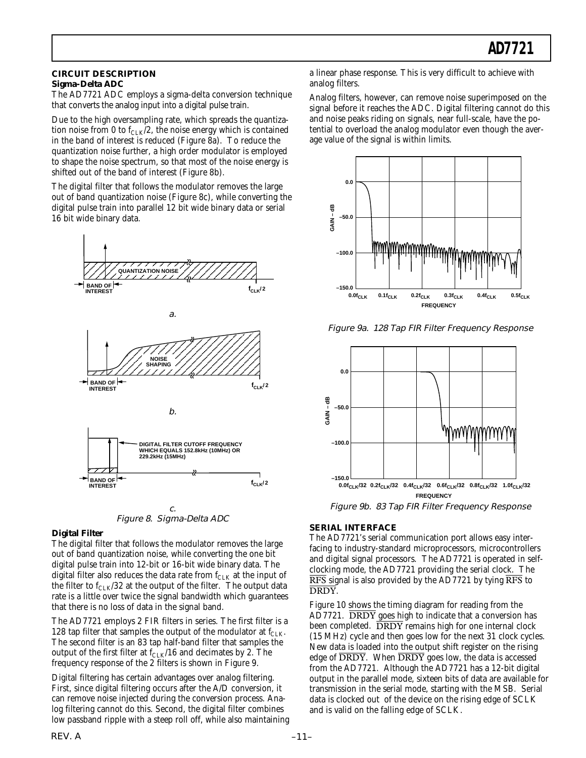#### **CIRCUIT DESCRIPTION Sigma-Delta ADC**

The AD7721 ADC employs a sigma-delta conversion technique that converts the analog input into a digital pulse train.

Due to the high oversampling rate, which spreads the quantization noise from 0 to  $f_{CLK}/2$ , the noise energy which is contained in the band of interest is reduced (Figure 8a). To reduce the quantization noise further, a high order modulator is employed to shape the noise spectrum, so that most of the noise energy is shifted out of the band of interest (Figure 8b).

The digital filter that follows the modulator removes the large out of band quantization noise (Figure 8c), while converting the digital pulse train into parallel 12 bit wide binary data or serial 16 bit wide binary data.





#### **Digital Filter**

The digital filter that follows the modulator removes the large out of band quantization noise, while converting the one bit digital pulse train into 12-bit or 16-bit wide binary data. The digital filter also reduces the data rate from  $f_{\text{CLK}}$  at the input of the filter to  $f_{CLK}/32$  at the output of the filter. The output data rate is a little over twice the signal bandwidth which guarantees that there is no loss of data in the signal band.

The AD7721 employs 2 FIR filters in series. The first filter is a 128 tap filter that samples the output of the modulator at  $f_{\rm CLK}$ . The second filter is an 83 tap half-band filter that samples the output of the first filter at  $f_{CLK}/16$  and decimates by 2. The frequency response of the 2 filters is shown in Figure 9.

Digital filtering has certain advantages over analog filtering. First, since digital filtering occurs after the A/D conversion, it can remove noise injected during the conversion process. Analog filtering cannot do this. Second, the digital filter combines low passband ripple with a steep roll off, while also maintaining

a linear phase response. This is very difficult to achieve with analog filters.

Analog filters, however, can remove noise superimposed on the signal before it reaches the ADC. Digital filtering cannot do this and noise peaks riding on signals, near full-scale, have the potential to overload the analog modulator even though the average value of the signal is within limits.



Figure 9a. 128 Tap FIR Filter Frequency Response



#### **SERIAL INTERFACE**

The AD7721's serial communication port allows easy interfacing to industry-standard microprocessors, microcontrollers and digital signal processors. The AD7721 is operated in selfclocking mode, the AD7721 providing the serial clock. The RFS signal is also provided by the AD7721 by tying RFS to DRDY.

Figure 10 shows the timing diagram for reading from the  $AD7721.$   $\overline{DRDY}$  goes high to indicate that a conversion has been completed. DRDY remains high for one internal clock (15 MHz) cycle and then goes low for the next 31 clock cycles. New data is loaded into the output shift register on the rising edge of  $\overline{DRDY}$ . When  $\overline{DRDY}$  goes low, the data is accessed from the AD7721. Although the AD7721 has a 12-bit digital output in the parallel mode, sixteen bits of data are available for transmission in the serial mode, starting with the MSB. Serial data is clocked out of the device on the rising edge of SCLK and is valid on the falling edge of SCLK.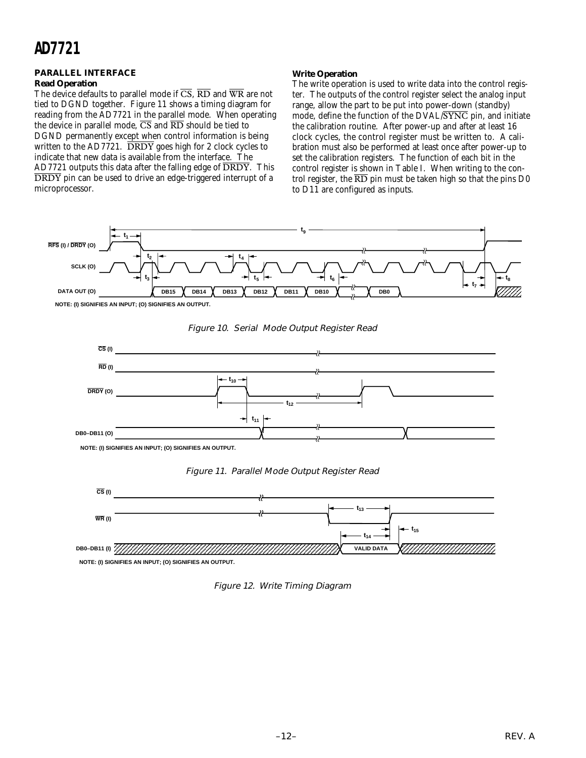#### **PARALLEL INTERFACE Read Operation**

The device defaults to parallel mode if  $\overline{CS}$ ,  $\overline{RD}$  and  $\overline{WR}$  are not tied to DGND together. Figure 11 shows a timing diagram for reading from the AD7721 in the parallel mode. When operating the device in parallel mode,  $\overline{CS}$  and  $\overline{RD}$  should be tied to DGND permanently except when control information is being written to the  $AD7721$ . DRDY goes high for 2 clock cycles to indicate that new data is available from the interface. The AD7721 outputs this data after the falling edge of  $\overline{DRDY}$ . This DRDY pin can be used to drive an edge-triggered interrupt of a microprocessor.

#### **Write Operation**

The write operation is used to write data into the control register. The outputs of the control register select the analog input range, allow the part to be put into power-down (standby) mode, define the function of the DVAL/SYNC pin, and initiate the calibration routine. After power-up and after at least 16 clock cycles, the control register must be written to. A calibration must also be performed at least once after power-up to set the calibration registers. The function of each bit in the control register is shown in Table I. When writing to the control register, the  $\overline{RD}$  pin must be taken high so that the pins D0 to D11 are configured as inputs.









Figure 11. Parallel Mode Output Register Read



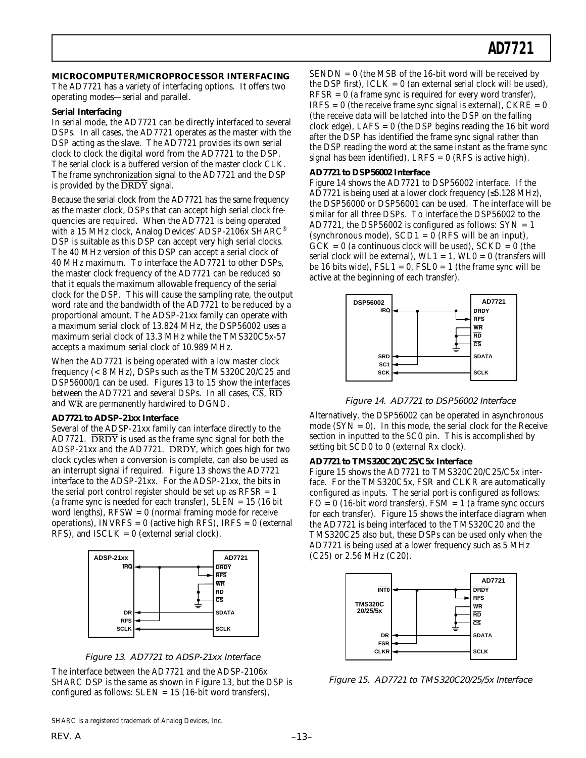**MICROCOMPUTER/MICROPROCESSOR INTERFACING**

The AD7721 has a variety of interfacing options. It offers two operating modes—serial and parallel.

#### **Serial Interfacing**

In serial mode, the AD7721 can be directly interfaced to several DSPs. In all cases, the AD7721 operates as the master with the DSP acting as the slave. The AD7721 provides its own serial clock to clock the digital word from the AD7721 to the DSP. The serial clock is a buffered version of the master clock CLK. The frame synchronization signal to the AD7721 and the DSP is provided by the  $\overline{DRDY}$  signal.

Because the serial clock from the AD7721 has the same frequency as the master clock, DSPs that can accept high serial clock frequencies are required. When the AD7721 is being operated with a 15 MHz clock, Analog Devices' ADSP-2106x SHARC® DSP is suitable as this DSP can accept very high serial clocks. The 40 MHz version of this DSP can accept a serial clock of 40 MHz maximum. To interface the AD7721 to other DSPs, the master clock frequency of the AD7721 can be reduced so that it equals the maximum allowable frequency of the serial clock for the DSP. This will cause the sampling rate, the output word rate and the bandwidth of the AD7721 to be reduced by a proportional amount. The ADSP-21xx family can operate with a maximum serial clock of 13.824 MHz, the DSP56002 uses a maximum serial clock of 13.3 MHz while the TMS320C5x-57 accepts a maximum serial clock of 10.989 MHz.

When the AD7721 is being operated with a low master clock frequency (< 8 MHz), DSPs such as the TMS320C20/C25 and DSP56000/1 can be used. Figures 13 to 15 show the interfaces between the AD7721 and several DSPs. In all cases,  $\overline{CS}$ ,  $\overline{RD}$ and WR are permanently hardwired to DGND.

#### **AD7721 to ADSP-21xx Interface**

Several of the ADSP-21xx family can interface directly to the AD7721. DRDY is used as the frame sync signal for both the ADSP-21xx and the AD7721. DRDY, which goes high for two clock cycles when a conversion is complete, can also be used as an interrupt signal if required. Figure 13 shows the AD7721 interface to the ADSP-21xx. For the ADSP-21xx, the bits in the serial port control register should be set up as  $RFSR = 1$ (a frame sync is needed for each transfer),  $SLEN = 15$  (16 bit word lengths),  $RFSW = 0$  (normal framing mode for receive operations), INVRFS =  $0$  (active high RFS), IRFS =  $0$  (external RFS), and  $ISCLK = 0$  (external serial clock).





The interface between the AD7721 and the ADSP-2106x SHARC DSP is the same as shown in Figure 13, but the DSP is configured as follows:  $SLEN = 15$  (16-bit word transfers),

 $SENDN = 0$  (the MSB of the 16-bit word will be received by the DSP first),  $ICLK = 0$  (an external serial clock will be used),  $RFSR = 0$  (a frame sync is required for every word transfer),  $IRFS = 0$  (the receive frame sync signal is external),  $CKRE = 0$ (the receive data will be latched into the DSP on the falling clock edge), LAFS = 0 (the DSP begins reading the 16 bit word after the DSP has identified the frame sync signal rather than the DSP reading the word at the same instant as the frame sync signal has been identified), LRFS =  $0$  (RFS is active high).

#### **AD7721 to DSP56002 Interface**

Figure 14 shows the AD7721 to DSP56002 interface. If the AD7721 is being used at a lower clock frequency (≤5.128 MHz), the DSP56000 or DSP56001 can be used. The interface will be similar for all three DSPs. To interface the DSP56002 to the AD7721, the DSP56002 is configured as follows:  $SYN = 1$ (synchronous mode),  $SCD1 = 0$  (RFS will be an input),  $GCK = 0$  (a continuous clock will be used),  $SCKD = 0$  (the serial clock will be external),  $WL1 = 1$ ,  $WL0 = 0$  (transfers will be 16 bits wide),  $\text{FSL1} = 0$ ,  $\text{FSL0} = 1$  (the frame sync will be active at the beginning of each transfer).



Figure 14. AD7721 to DSP56002 Interface

Alternatively, the DSP56002 can be operated in asynchronous mode  $(SYN = 0)$ . In this mode, the serial clock for the Receive section in inputted to the SC0 pin. This is accomplished by setting bit SCD0 to 0 (external Rx clock).

#### **AD7721 to TMS320C20/C25/C5x Interface**

Figure 15 shows the AD7721 to TMS320C20/C25/C5x interface. For the TMS320C5x, FSR and CLKR are automatically configured as inputs. The serial port is configured as follows:  $FO = 0$  (16-bit word transfers),  $FSM = 1$  (a frame sync occurs for each transfer). Figure 15 shows the interface diagram when the AD7721 is being interfaced to the TMS320C20 and the TMS320C25 also but, these DSPs can be used only when the AD7721 is being used at a lower frequency such as 5 MHz (C25) or 2.56 MHz (C20).



Figure 15. AD7721 to TMS320C20/25/5x Interface

SHARC is a registered trademark of Analog Devices, Inc.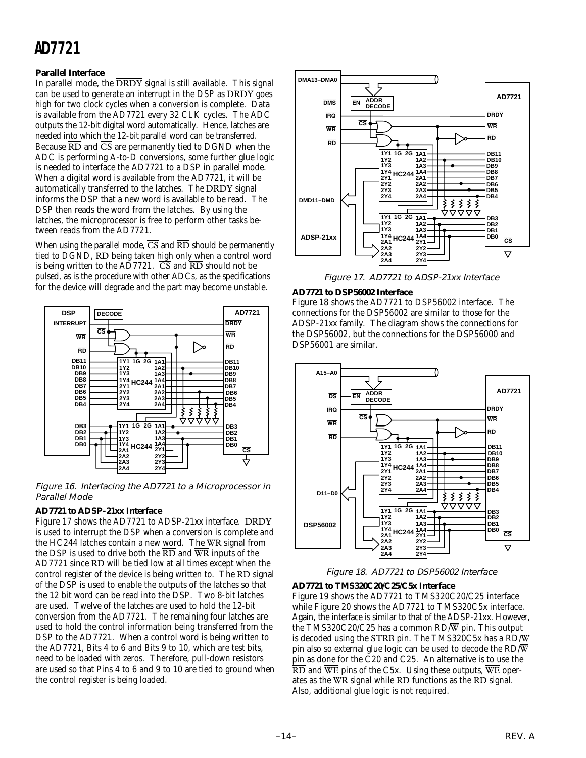#### **Parallel Interface**

In parallel mode, the  $\overline{DRDY}$  signal is still available. This signal can be used to generate an interrupt in the DSP as  $\overline{DRDY}$  goes high for two clock cycles when a conversion is complete. Data is available from the AD7721 every 32 CLK cycles. The ADC outputs the 12-bit digital word automatically. Hence, latches are needed into which the 12-bit parallel word can be transferred. Because  $\overline{RD}$  and  $\overline{CS}$  are permanently tied to DGND when the ADC is performing A-to-D conversions, some further glue logic is needed to interface the AD7721 to a DSP in parallel mode. When a digital word is available from the AD7721, it will be automatically transferred to the latches. The  $\overline{DRDY}$  signal informs the DSP that a new word is available to be read. The DSP then reads the word from the latches. By using the latches, the microprocessor is free to perform other tasks between reads from the AD7721.

When using the parallel mode,  $\overline{CS}$  and  $\overline{RD}$  should be permanently tied to DGND,  $\overline{RD}$  being taken high only when a control word is being written to the AD7721.  $\overline{CS}$  and  $\overline{RD}$  should not be pulsed, as is the procedure with other ADCs, as the specifications for the device will degrade and the part may become unstable.



Figure 16. Interfacing the AD7721 to a Microprocessor in Parallel Mode

#### **AD7721 to ADSP-21xx Interface**

Figure 17 shows the AD7721 to ADSP-21xx interface. DRDY is used to interrupt the DSP when a conversion is complete and the HC244 latches contain a new word. The  $\overline{WR}$  signal from the DSP is used to drive both the  $\overline{RD}$  and  $\overline{WR}$  inputs of the AD7721 since  $\overline{RD}$  will be tied low at all times except when the control register of the device is being written to. The  $\overline{\text{RD}}$  signal of the DSP is used to enable the outputs of the latches so that the 12 bit word can be read into the DSP. Two 8-bit latches are used. Twelve of the latches are used to hold the 12-bit conversion from the AD7721. The remaining four latches are used to hold the control information being transferred from the DSP to the AD7721. When a control word is being written to the AD7721, Bits 4 to 6 and Bits 9 to 10, which are test bits, need to be loaded with zeros. Therefore, pull-down resistors are used so that Pins 4 to 6 and 9 to 10 are tied to ground when the control register is being loaded.



Figure 17. AD7721 to ADSP-21xx Interface

#### **AD7721 to DSP56002 Interface**

Figure 18 shows the AD7721 to DSP56002 interface. The connections for the DSP56002 are similar to those for the ADSP-21xx family. The diagram shows the connections for the DSP56002, but the connections for the DSP56000 and DSP56001 are similar.



Figure 18. AD7721 to DSP56002 Interface

#### **AD7721 to TMS320C20/C25/C5x Interface**

Figure 19 shows the AD7721 to TMS320C20/C25 interface while Figure 20 shows the AD7721 to TMS320C5x interface. Again, the interface is similar to that of the ADSP-21xx. However, the TMS320C20/C25 has a common  $RD/\overline{W}$  pin. This output is decoded using the  $\overline{\text{STRB}}$  pin. The TMS320C5x has a RD/W pin also so external glue logic can be used to decode the  $RD/\overline{W}$ pin as done for the C20 and C25. An alternative is to use the  $\overline{RD}$  and  $\overline{WE}$  pins of the C5x. Using these outputs,  $\overline{WE}$  operates as the  $\overline{WR}$  signal while  $\overline{RD}$  functions as the  $\overline{RD}$  signal. Also, additional glue logic is not required.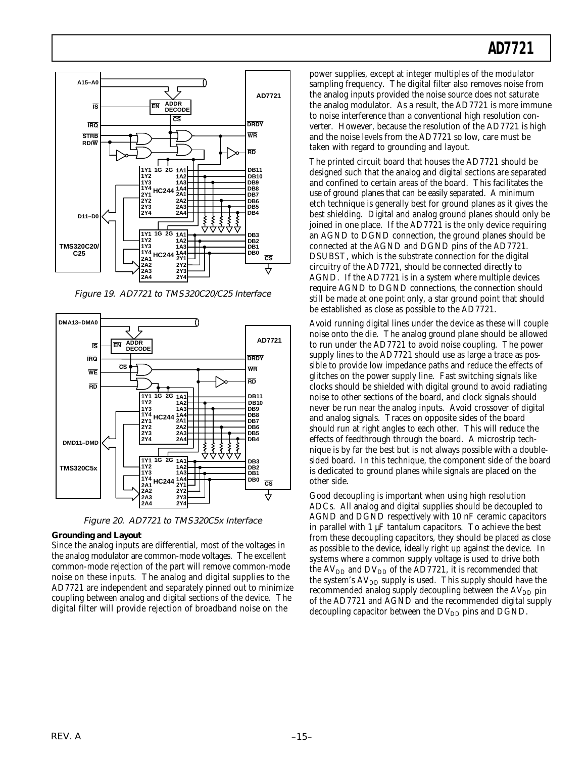

Figure 19. AD7721 to TMS320C20/C25 Interface



Figure 20. AD7721 to TMS320C5x Interface

#### **Grounding and Layout**

Since the analog inputs are differential, most of the voltages in the analog modulator are common-mode voltages. The excellent common-mode rejection of the part will remove common-mode noise on these inputs. The analog and digital supplies to the AD7721 are independent and separately pinned out to minimize coupling between analog and digital sections of the device. The digital filter will provide rejection of broadband noise on the

power supplies, except at integer multiples of the modulator sampling frequency. The digital filter also removes noise from the analog inputs provided the noise source does not saturate the analog modulator. As a result, the AD7721 is more immune to noise interference than a conventional high resolution converter. However, because the resolution of the AD7721 is high and the noise levels from the AD7721 so low, care must be taken with regard to grounding and layout.

The printed circuit board that houses the AD7721 should be designed such that the analog and digital sections are separated and confined to certain areas of the board. This facilitates the use of ground planes that can be easily separated. A minimum etch technique is generally best for ground planes as it gives the best shielding. Digital and analog ground planes should only be joined in one place. If the AD7721 is the only device requiring an AGND to DGND connection, the ground planes should be connected at the AGND and DGND pins of the AD7721. DSUBST, which is the substrate connection for the digital circuitry of the AD7721, should be connected directly to AGND. If the AD7721 is in a system where multiple devices require AGND to DGND connections, the connection should still be made at one point only, a star ground point that should be established as close as possible to the AD7721.

Avoid running digital lines under the device as these will couple noise onto the die. The analog ground plane should be allowed to run under the AD7721 to avoid noise coupling. The power supply lines to the AD7721 should use as large a trace as possible to provide low impedance paths and reduce the effects of glitches on the power supply line. Fast switching signals like clocks should be shielded with digital ground to avoid radiating noise to other sections of the board, and clock signals should never be run near the analog inputs. Avoid crossover of digital and analog signals. Traces on opposite sides of the board should run at right angles to each other. This will reduce the effects of feedthrough through the board. A microstrip technique is by far the best but is not always possible with a doublesided board. In this technique, the component side of the board is dedicated to ground planes while signals are placed on the other side.

Good decoupling is important when using high resolution ADCs. All analog and digital supplies should be decoupled to AGND and DGND respectively with 10 nF ceramic capacitors in parallel with 1 µF tantalum capacitors. To achieve the best from these decoupling capacitors, they should be placed as close as possible to the device, ideally right up against the device. In systems where a common supply voltage is used to drive both the  $AV<sub>DD</sub>$  and  $DV<sub>DD</sub>$  of the AD7721, it is recommended that the system's  $AV_{DD}$  supply is used. This supply should have the recommended analog supply decoupling between the  $AV<sub>DD</sub>$  pin of the AD7721 and AGND and the recommended digital supply decoupling capacitor between the  $DV_{DD}$  pins and DGND.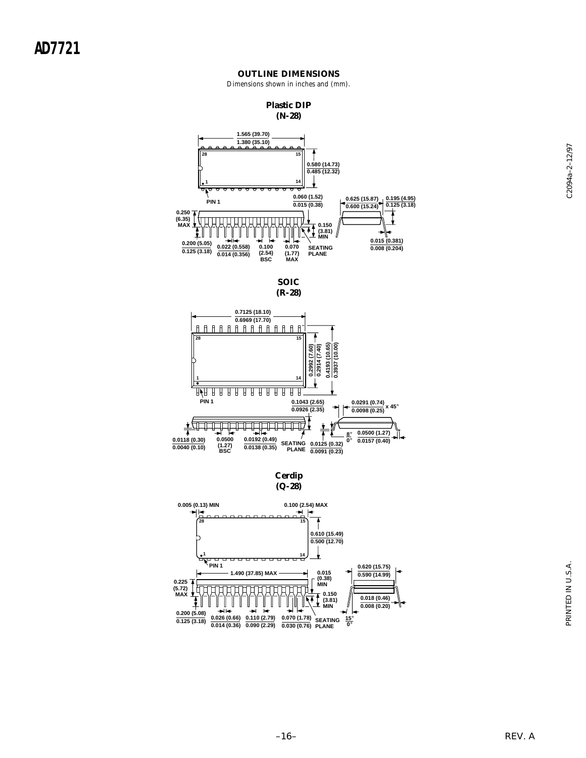#### **OUTLINE DIMENSIONS**

Dimensions shown in inches and (mm).